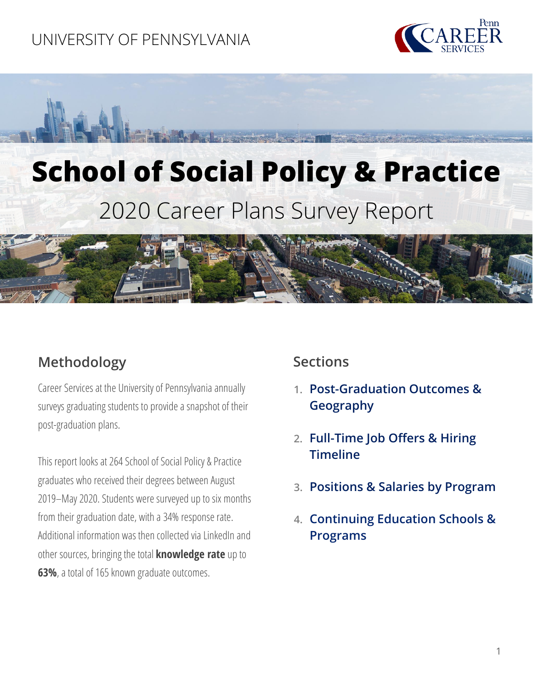## UNIVERSITY OF PENNSYLVANIA



# **School of Social Policy & Practice** 2020 Career Plans Survey Report



## **Methodology**

Career Services at the University of Pennsylvania annually surveys graduating students to provide a snapshot of their post-graduation plans.

This report looks at 264 School of Social Policy & Practice graduates who received their degrees between August 2019–May 2020. Students were surveyed up to six months from their graduation date, with a 34% response rate. Additional information was then collected via LinkedIn and other sources, bringing the total **knowledge rate** up to **63%**, a total of 165 known graduate outcomes.

#### **Sections**

- **1. [Post-Graduation Outcomes](#page-1-0) & [Geography](#page-1-0)**
- **2. [Full-Time Job Offers & Hiring](#page-2-0) [Timeline](#page-2-0)**
- **3. [Positions & Salaries](#page-3-0) by [Program](#page-3-0)**
- **4. [Continuing Education Schools &](#page-8-0) [Programs](#page-8-0)**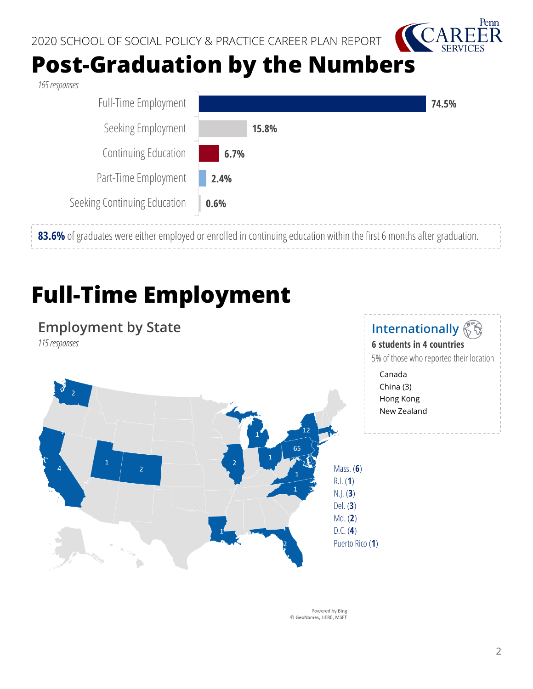

## **Post-Graduation by the Numbers**

*165responses* 

<span id="page-1-0"></span>

## **Full-Time Employment**

### **Employment by State**

*115 responses* 



#### **Internationally 6 students in 4 countries**

5% of those who reported their location

Canada China (3) Hong Kong New Zealand

Powered by Bing © GeoNames, HERE, MSFT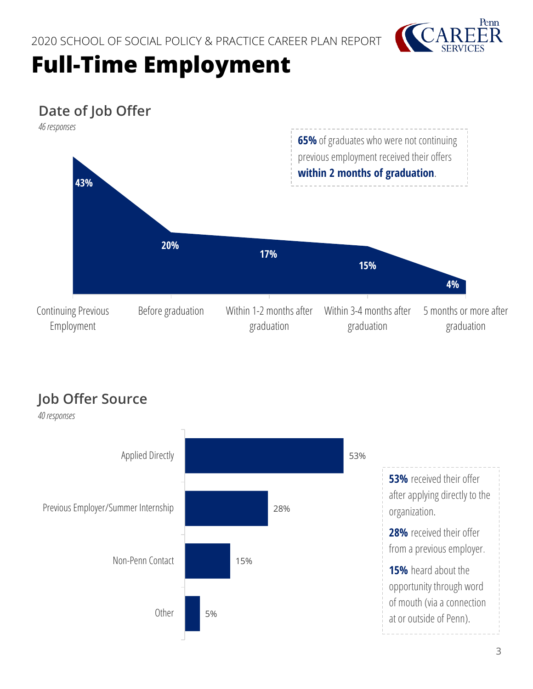

## <span id="page-2-0"></span>**Full-Time Employment**

## **Date of Job Offer**



## **Job Offer Source**

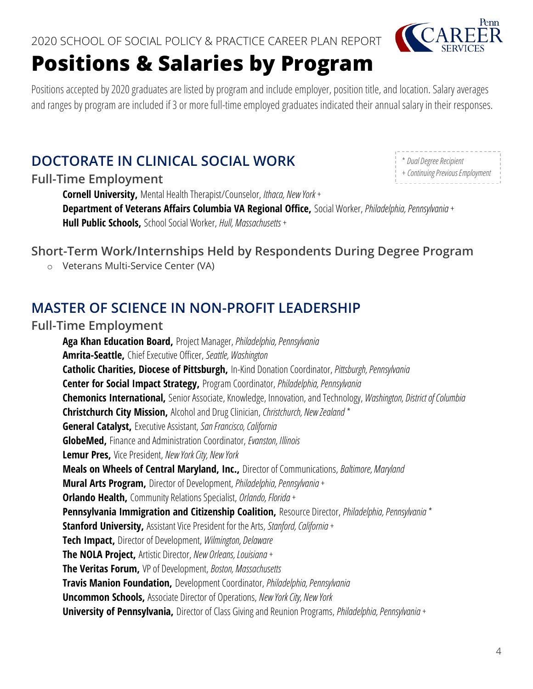## <span id="page-3-0"></span>**Positions & Salaries by Program**

Penn

\* *Dual Degree Recipient*

+ *Continuing Previous Employment*

Positions accepted by 2020 graduates are listed by program and include employer, position title, and location. Salary averages and ranges by program are included if 3 or more full-time employed graduates indicated their annual salary in their responses.

## **DOCTORATE IN CLINICAL SOCIAL WORK**

#### **Full-Time Employment**

**Cornell University,** Mental Health Therapist/Counselor, *Ithaca, New York +*

**Department of Veterans Affairs Columbia VA Regional Office,** Social Worker, *Philadelphia, Pennsylvania +* **Hull Public Schools,** School Social Worker, *Hull, Massachusetts +*

#### **Short-Term Work/Internships Held by Respondents During Degree Program**

o Veterans Multi-Service Center (VA)

### **MASTER OF SCIENCE IN NON-PROFIT LEADERSHIP**

#### **Full-Time Employment**

**Aga Khan Education Board,** Project Manager, *Philadelphia, Pennsylvania*  **Amrita-Seattle,** Chief Executive Officer, *Seattle, Washington*  **Catholic Charities, Diocese of Pittsburgh,** In-Kind Donation Coordinator, *Pittsburgh, Pennsylvania*  **Center for Social Impact Strategy,** Program Coordinator, *Philadelphia, Pennsylvania*  **Chemonics International,** Senior Associate, Knowledge, Innovation, and Technology, *Washington, District of Columbia*  **Christchurch City Mission,** Alcohol and Drug Clinician, *Christchurch, New Zealand \** **General Catalyst,** Executive Assistant, *San Francisco, California*  **GlobeMed,** Finance and Administration Coordinator, *Evanston, Illinois*  **Lemur Pres,** Vice President, *New York City, New York*  **Meals on Wheels of Central Maryland, Inc.,** Director of Communications, *Baltimore, Maryland*  **Mural Arts Program,** Director of Development, *Philadelphia, Pennsylvania +* **Orlando Health,** Community Relations Specialist, *Orlando, Florida +* **Pennsylvania Immigration and Citizenship Coalition,** Resource Director, *Philadelphia, Pennsylvania \** **Stanford University,** Assistant Vice President for the Arts, *Stanford, California +* **Tech Impact,** Director of Development, *Wilmington, Delaware*  **The NOLA Project,** Artistic Director, *New Orleans, Louisiana +* **The Veritas Forum,** VP of Development, *Boston, Massachusetts*  **Travis Manion Foundation,** Development Coordinator, *Philadelphia, Pennsylvania*  **Uncommon Schools,** Associate Director of Operations, *New York City, New York*  **University of Pennsylvania,** Director of Class Giving and Reunion Programs, *Philadelphia, Pennsylvania +*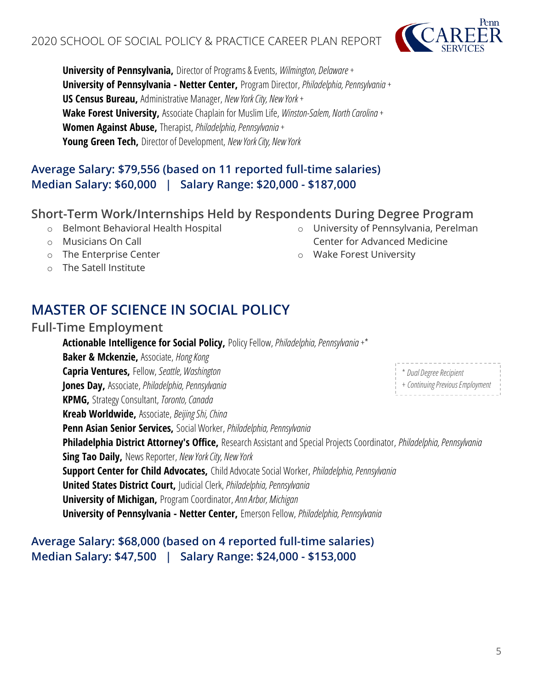**University of Pennsylvania,** Director of Programs & Events, *Wilmington, Delaware +* **University of Pennsylvania - Netter Center,** Program Director, *Philadelphia, Pennsylvania +* **US Census Bureau,** Administrative Manager, *New York City, New York +* **Wake Forest University,** Associate Chaplain for Muslim Life, *Winston-Salem, North Carolina +* **Women Against Abuse,** Therapist, *Philadelphia, Pennsylvania +* **Young Green Tech,** Director of Development, *New York City, New York* 

#### **Average Salary: \$79,556 (based on 11 reported full-time salaries) Median Salary: \$60,000 | Salary Range: \$20,000 - \$187,000**

#### **Short-Term Work/Internships Held by Respondents During Degree Program**

- o Belmont Behavioral Health Hospital
- o Musicians On Call
- o The Enterprise Center
- o The Satell Institute

## **MASTER OF SCIENCE IN SOCIAL POLICY**

#### **Full-Time Employment**

**Actionable Intelligence for Social Policy,** Policy Fellow, *Philadelphia, Pennsylvania +\** **Baker & Mckenzie,** Associate, *Hong Kong*  **Capria Ventures,** Fellow, *Seattle, Washington*  **Jones Day,** Associate, *Philadelphia, Pennsylvania*  **KPMG,** Strategy Consultant, *Toronto, Canada*  **Kreab Worldwide,** Associate, *Beijing Shi, China*  **Penn Asian Senior Services,** Social Worker, *Philadelphia, Pennsylvania*  **Philadelphia District Attorney's Office,** Research Assistant and Special Projects Coordinator, *Philadelphia, Pennsylvania*  **Sing Tao Daily,** News Reporter, *New York City, New York*  **Support Center for Child Advocates,** Child Advocate Social Worker, *Philadelphia, Pennsylvania*  **United States District Court,** Judicial Clerk, *Philadelphia, Pennsylvania*  **University of Michigan,** Program Coordinator, *Ann Arbor, Michigan*  **University of Pennsylvania - Netter Center,** Emerson Fellow, *Philadelphia, Pennsylvania*  \* *Dual Degree Recipient*

#### **Average Salary: \$68,000 (based on 4 reported full-time salaries) Median Salary: \$47,500 | Salary Range: \$24,000 - \$153,000**

o University of Pennsylvania, Perelman Center for Advanced Medicine

o Wake Forest University

+ *Continuing Previous Employment*

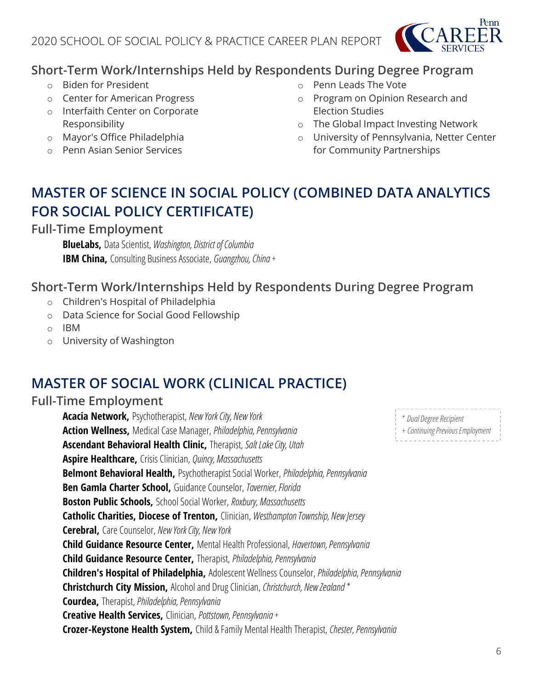

#### **Short-Term Work/Internships Held by Respondents During Degree Program**

- o Biden for President
- o Center for American Progress
- o Interfaith Center on Corporate Responsibility
- o Mayor's Office Philadelphia
- o Penn Asian Senior Services
- o Penn Leads The Vote
- o Program on Opinion Research and Election Studies
- o The Global Impact Investing Network
- o University of Pennsylvania, Netter Center for Community Partnerships

## **MASTER OF SCIENCE IN SOCIAL POLICY (COMBINED DATA ANALYTICS FOR SOCIAL POLICY CERTIFICATE)**

**Full-Time Employment**

**BlueLabs,** Data Scientist, *Washington, District of Columbia*  **IBM China,** Consulting Business Associate, *Guangzhou, China +*

#### **Short-Term Work/Internships Held by Respondents During Degree Program**

- o Children's Hospital of Philadelphia
- o Data Science for Social Good Fellowship
- o IBM
- o University of Washington

## **MASTER OF SOCIAL WORK (CLINICAL PRACTICE)**

#### **Full-Time Employment**

**Acacia Network,** Psychotherapist, *New York City, New York*  **Action Wellness,** Medical Case Manager, *Philadelphia, Pennsylvania*  **Ascendant Behavioral Health Clinic,** Therapist, *Salt Lake City, Utah*  **Aspire Healthcare,** Crisis Clinician, *Quincy, Massachusetts*  **Belmont Behavioral Health,** Psychotherapist Social Worker, *Philadelphia, Pennsylvania*  **Ben Gamla Charter School,** Guidance Counselor, *Tavernier, Florida*  **Boston Public Schools,** School Social Worker, *Roxbury, Massachusetts*  **Catholic Charities, Diocese of Trenton,** Clinician, *Westhampton Township, New Jersey* **Cerebral,** Care Counselor, *New York City, New York*  **Child Guidance Resource Center,** Mental Health Professional, *Havertown, Pennsylvania*  **Child Guidance Resource Center,** Therapist, *Philadelphia, Pennsylvania*  **Children's Hospital of Philadelphia,** Adolescent Wellness Counselor, *Philadelphia, Pennsylvania*  **Christchurch City Mission,** Alcohol and Drug Clinician, *Christchurch, New Zealand \** **Courdea,** Therapist, *Philadelphia, Pennsylvania*  **Creative Health Services,** Clinician, *Pottstown, Pennsylvania +* **Crozer-Keystone Health System,** Child & Family Mental Health Therapist, *Chester, Pennsylvania* 

\* *Dual Degree Recipient* + *Continuing Previous Employment*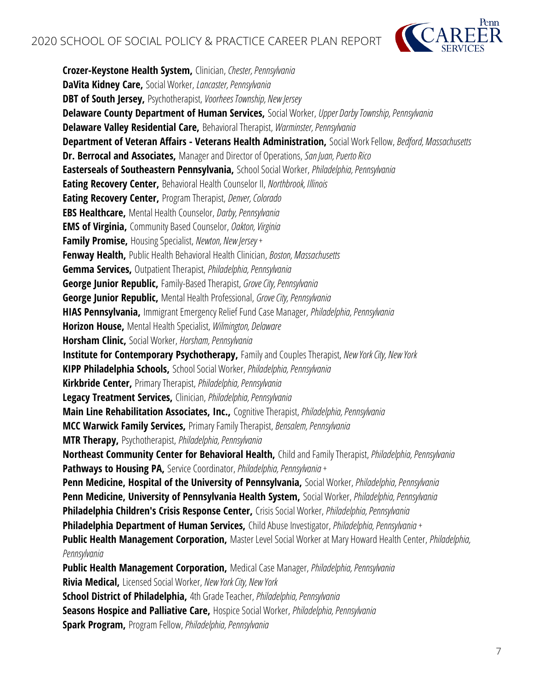

**Crozer-Keystone Health System,** Clinician, *Chester, Pennsylvania*  **DaVita Kidney Care,** Social Worker, *Lancaster, Pennsylvania*  **DBT of South Jersey,** Psychotherapist, *Voorhees Township, New Jersey* **Delaware County Department of Human Services,** Social Worker, *Upper Darby Township, Pennsylvania*  **Delaware Valley Residential Care,** Behavioral Therapist, *Warminster, Pennsylvania*  **Department of Veteran Affairs - Veterans Health Administration,** Social Work Fellow, *Bedford, Massachusetts*  **Dr. Berrocal and Associates,** Manager and Director of Operations, *San Juan, Puerto Rico*  **Easterseals of Southeastern Pennsylvania,** School Social Worker, *Philadelphia, Pennsylvania*  **Eating Recovery Center,** Behavioral Health Counselor II, *Northbrook, Illinois*  **Eating Recovery Center,** Program Therapist, *Denver, Colorado*  **EBS Healthcare,** Mental Health Counselor, *Darby, Pennsylvania*  **EMS of Virginia,** Community Based Counselor, *Oakton, Virginia*  **Family Promise,** Housing Specialist, *Newton, New Jersey +* **Fenway Health,** Public Health Behavioral Health Clinician, *Boston, Massachusetts*  **Gemma Services,** Outpatient Therapist, *Philadelphia, Pennsylvania*  **George Junior Republic,** Family-Based Therapist, *Grove City, Pennsylvania*  **George Junior Republic,** Mental Health Professional, *Grove City, Pennsylvania*  **HIAS Pennsylvania,** Immigrant Emergency Relief Fund Case Manager, *Philadelphia, Pennsylvania*  **Horizon House,** Mental Health Specialist, *Wilmington, Delaware*  **Horsham Clinic,** Social Worker, *Horsham, Pennsylvania*  **Institute for Contemporary Psychotherapy,** Family and Couples Therapist, *New York City, New York*  **KIPP Philadelphia Schools,** School Social Worker, *Philadelphia, Pennsylvania*  **Kirkbride Center,** Primary Therapist, *Philadelphia, Pennsylvania*  **Legacy Treatment Services,** Clinician, *Philadelphia, Pennsylvania*  **Main Line Rehabilitation Associates, Inc.,** Cognitive Therapist, *Philadelphia, Pennsylvania*  **MCC Warwick Family Services,** Primary Family Therapist, *Bensalem, Pennsylvania*  **MTR Therapy,** Psychotherapist, *Philadelphia, Pennsylvania*  **Northeast Community Center for Behavioral Health,** Child and Family Therapist, *Philadelphia, Pennsylvania* **Pathways to Housing PA,** Service Coordinator, *Philadelphia, Pennsylvania +* **Penn Medicine, Hospital of the University of Pennsylvania,** Social Worker, *Philadelphia, Pennsylvania*  **Penn Medicine, University of Pennsylvania Health System,** Social Worker, *Philadelphia, Pennsylvania*  **Philadelphia Children's Crisis Response Center,** Crisis Social Worker, *Philadelphia, Pennsylvania*  **Philadelphia Department of Human Services,** Child Abuse Investigator, *Philadelphia, Pennsylvania +* **Public Health Management Corporation,** Master Level Social Worker at Mary Howard Health Center, *Philadelphia, Pennsylvania*  **Public Health Management Corporation,** Medical Case Manager, *Philadelphia, Pennsylvania*  **Rivia Medical,** Licensed Social Worker, *New York City, New York*  **School District of Philadelphia,** 4th Grade Teacher, *Philadelphia, Pennsylvania*  **Seasons Hospice and Palliative Care,** Hospice Social Worker, *Philadelphia, Pennsylvania* 

**Spark Program,** Program Fellow, *Philadelphia, Pennsylvania*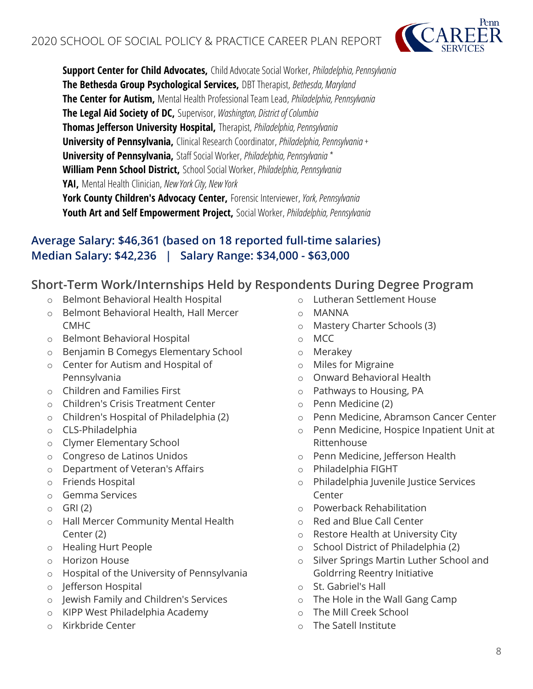

**Support Center for Child Advocates,** Child Advocate Social Worker, *Philadelphia, Pennsylvania*  **The Bethesda Group Psychological Services,** DBT Therapist, *Bethesda, Maryland*  **The Center for Autism,** Mental Health Professional Team Lead, *Philadelphia, Pennsylvania*  **The Legal Aid Society of DC,** Supervisor, *Washington, District of Columbia*  **Thomas Jefferson University Hospital,** Therapist, *Philadelphia, Pennsylvania*  **University of Pennsylvania,** Clinical Research Coordinator, *Philadelphia, Pennsylvania +* **University of Pennsylvania,** Staff Social Worker, *Philadelphia, Pennsylvania \** **William Penn School District,** School Social Worker, *Philadelphia, Pennsylvania*  **YAI,** Mental Health Clinician, *New York City, New York* 

**York County Children's Advocacy Center,** Forensic Interviewer, *York, Pennsylvania*  **Youth Art and Self Empowerment Project,** Social Worker, *Philadelphia, Pennsylvania* 

#### **Average Salary: \$46,361 (based on 18 reported full-time salaries) Median Salary: \$42,236 | Salary Range: \$34,000 - \$63,000**

#### **Short-Term Work/Internships Held by Respondents During Degree Program**

- o Belmont Behavioral Health Hospital
- o Belmont Behavioral Health, Hall Mercer CMHC
- o Belmont Behavioral Hospital
- o Benjamin B Comegys Elementary School
- o Center for Autism and Hospital of Pennsylvania
- o Children and Families First
- o Children's Crisis Treatment Center
- o Children's Hospital of Philadelphia (2)
- o CLS-Philadelphia
- o Clymer Elementary School
- o Congreso de Latinos Unidos
- o Department of Veteran's Affairs
- o Friends Hospital
- o Gemma Services
- $O$  GRI $(2)$
- o Hall Mercer Community Mental Health Center (2)
- o Healing Hurt People
- o Horizon House
- o Hospital of the University of Pennsylvania
- o Jefferson Hospital
- o Jewish Family and Children's Services
- o KIPP West Philadelphia Academy
- o Kirkbride Center
- o Lutheran Settlement House
- o MANNA
- o Mastery Charter Schools (3)
- o MCC
- o Merakey
- o Miles for Migraine
- o Onward Behavioral Health
- o Pathways to Housing, PA
- o Penn Medicine (2)
- o Penn Medicine, Abramson Cancer Center
- o Penn Medicine, Hospice Inpatient Unit at Rittenhouse
- o Penn Medicine, Jefferson Health
- o Philadelphia FIGHT
- o Philadelphia Juvenile Justice Services Center
- o Powerback Rehabilitation
- o Red and Blue Call Center
- o Restore Health at University City
- o School District of Philadelphia (2)
- o Silver Springs Martin Luther School and Goldrring Reentry Initiative
- o St. Gabriel's Hall
- o The Hole in the Wall Gang Camp
- o The Mill Creek School
- o The Satell Institute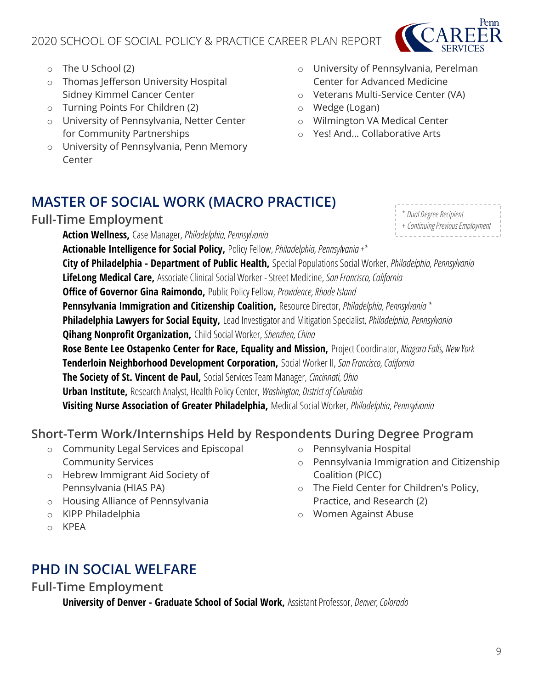### 2020 SCHOOL OF SOCIAL POLICY & PRACTICE CAREER PLAN REPORT



\* *Dual Degree Recipient* + *Continuing Previous Employment*

- o The U School (2)
- o Thomas Jefferson University Hospital Sidney Kimmel Cancer Center
- o Turning Points For Children (2)
- o University of Pennsylvania, Netter Center for Community Partnerships
- o University of Pennsylvania, Penn Memory **Center**
- o University of Pennsylvania, Perelman Center for Advanced Medicine
- o Veterans Multi-Service Center (VA)
- o Wedge (Logan)
- o Wilmington VA Medical Center
- o Yes! And... Collaborative Arts

### **MASTER OF SOCIAL WORK (MACRO PRACTICE)**

#### **Full-Time Employment**

**Action Wellness,** Case Manager, *Philadelphia, Pennsylvania*  **Actionable Intelligence for Social Policy,** Policy Fellow, *Philadelphia, Pennsylvania +\** **City of Philadelphia - Department of Public Health,** Special Populations Social Worker, *Philadelphia, Pennsylvania*  **LifeLong Medical Care,** Associate Clinical Social Worker -Street Medicine, *San Francisco, California*  **Office of Governor Gina Raimondo,** Public Policy Fellow, *Providence, Rhode Island*  **Pennsylvania Immigration and Citizenship Coalition,** Resource Director, *Philadelphia, Pennsylvania\** **Philadelphia Lawyers for Social Equity,** Lead Investigator and Mitigation Specialist, *Philadelphia, Pennsylvania*  **Qihang Nonprofit Organization,** Child Social Worker, *Shenzhen, China*  **Rose Bente Lee Ostapenko Center for Race, Equality and Mission,** Project Coordinator, *Niagara Falls, New York*  **Tenderloin Neighborhood Development Corporation,** Social Worker II, *San Francisco, California*  **The Society of St. Vincent de Paul,** Social Services Team Manager, *Cincinnati, Ohio*  **Urban Institute,** Research Analyst, Health Policy Center, *Washington, District of Columbia*  **Visiting Nurse Association of Greater Philadelphia,** Medical Social Worker, *Philadelphia, Pennsylvania* 

### **Short-Term Work/Internships Held by Respondents During Degree Program**

- o Community Legal Services and Episcopal Community Services
- o Hebrew Immigrant Aid Society of Pennsylvania (HIAS PA)
- o Housing Alliance of Pennsylvania
- o KIPP Philadelphia
- o KPEA
- o Pennsylvania Hospital o Pennsylvania Immigration and Citizenship
- Coalition (PICC)
- o The Field Center for Children's Policy, Practice, and Research (2)
- o Women Against Abuse

**PHD IN SOCIAL WELFARE**

<span id="page-8-0"></span>**Full-Time Employment**

**University of Denver - Graduate School of Social Work,** Assistant Professor, *Denver, Colorado*